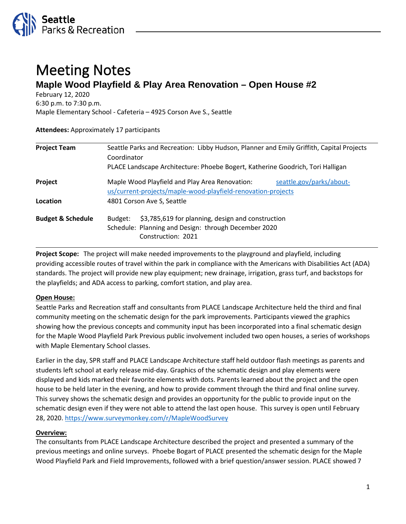

# Meeting Notes **Maple Wood Playfield & Play Area Renovation – Open House #2**

February 12, 2020

6:30 p.m. to 7:30 p.m.

Maple Elementary School - Cafeteria – 4925 Corson Ave S., Seattle

#### **Attendees:** Approximately 17 participants

| <b>Project Team</b>          | Seattle Parks and Recreation: Libby Hudson, Planner and Emily Griffith, Capital Projects<br>Coordinator<br>PLACE Landscape Architecture: Phoebe Bogert, Katherine Goodrich, Tori Halligan |                          |
|------------------------------|-------------------------------------------------------------------------------------------------------------------------------------------------------------------------------------------|--------------------------|
|                              |                                                                                                                                                                                           |                          |
| Project                      | Maple Wood Playfield and Play Area Renovation:<br>us/current-projects/maple-wood-playfield-renovation-projects                                                                            | seattle.gov/parks/about- |
| Location                     | 4801 Corson Ave S, Seattle                                                                                                                                                                |                          |
| <b>Budget &amp; Schedule</b> | \$3,785,619 for planning, design and construction<br>Budget:<br>Schedule: Planning and Design: through December 2020<br>Construction: 2021                                                |                          |

**Project Scope:** The project will make needed improvements to the playground and playfield, including providing accessible routes of travel within the park in compliance with the Americans with Disabilities Act (ADA) standards. The project will provide new play equipment; new drainage, irrigation, grass turf, and backstops for the playfields; and ADA access to parking, comfort station, and play area.

## **Open House:**

Seattle Parks and Recreation staff and consultants from PLACE Landscape Architecture held the third and final community meeting on the schematic design for the park improvements. Participants viewed the graphics showing how the previous concepts and community input has been incorporated into a final schematic design for the Maple Wood Playfield Park Previous public involvement included two open houses, a series of workshops with Maple Elementary School classes.

Earlier in the day, SPR staff and PLACE Landscape Architecture staff held outdoor flash meetings as parents and students left school at early release mid-day. Graphics of the schematic design and play elements were displayed and kids marked their favorite elements with dots. Parents learned about the project and the open house to be held later in the evening, and how to provide comment through the third and final online survey. This survey shows the schematic design and provides an opportunity for the public to provide input on the schematic design even if they were not able to attend the last open house. This survey is open until February 28, 2020.<https://www.surveymonkey.com/r/MapleWoodSurvey>

## **Overview:**

The consultants from PLACE Landscape Architecture described the project and presented a summary of the previous meetings and online surveys. Phoebe Bogart of PLACE presented the schematic design for the Maple Wood Playfield Park and Field Improvements, followed with a brief question/answer session. PLACE showed 7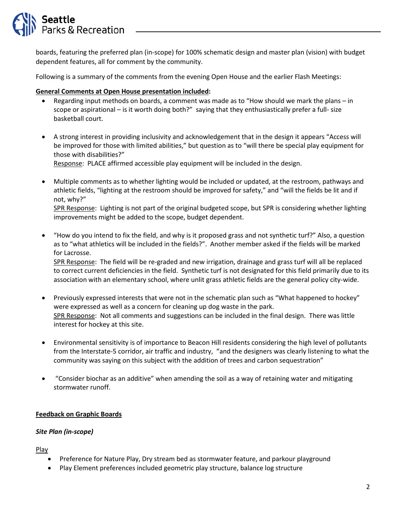

boards, featuring the preferred plan (in-scope) for 100% schematic design and master plan (vision) with budget dependent features, all for comment by the community.

Following is a summary of the comments from the evening Open House and the earlier Flash Meetings:

### **General Comments at Open House presentation included:**

- Regarding input methods on boards, a comment was made as to "How should we mark the plans in scope or aspirational – is it worth doing both?" saying that they enthusiastically prefer a full- size basketball court.
- A strong interest in providing inclusivity and acknowledgement that in the design it appears "Access will be improved for those with limited abilities," but question as to "will there be special play equipment for those with disabilities?"

Response: PLACE affirmed accessible play equipment will be included in the design.

• Multiple comments as to whether lighting would be included or updated, at the restroom, pathways and athletic fields, "lighting at the restroom should be improved for safety," and "will the fields be lit and if not, why?"

SPR Response: Lighting is not part of the original budgeted scope, but SPR is considering whether lighting improvements might be added to the scope, budget dependent.

• "How do you intend to fix the field, and why is it proposed grass and not synthetic turf?" Also, a question as to "what athletics will be included in the fields?". Another member asked if the fields will be marked for Lacrosse.

SPR Response: The field will be re-graded and new irrigation, drainage and grass turf will all be replaced to correct current deficiencies in the field. Synthetic turf is not designated for this field primarily due to its association with an elementary school, where unlit grass athletic fields are the general policy city-wide.

- Previously expressed interests that were not in the schematic plan such as "What happened to hockey" were expressed as well as a concern for cleaning up dog waste in the park. SPR Response: Not all comments and suggestions can be included in the final design. There was little interest for hockey at this site.
- Environmental sensitivity is of importance to Beacon Hill residents considering the high level of pollutants from the Interstate-5 corridor, air traffic and industry, "and the designers was clearly listening to what the community was saying on this subject with the addition of trees and carbon sequestration"
- "Consider biochar as an additive" when amending the soil as a way of retaining water and mitigating stormwater runoff.

#### **Feedback on Graphic Boards**

#### *Site Plan (in-scope)*

Play

- Preference for Nature Play, Dry stream bed as stormwater feature, and parkour playground
- Play Element preferences included geometric play structure, balance log structure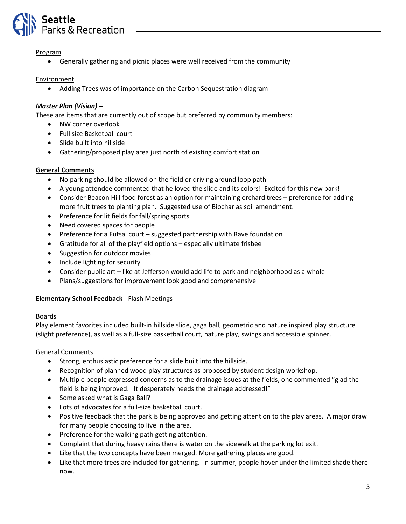

#### Program

• Generally gathering and picnic places were well received from the community

### Environment

• Adding Trees was of importance on the Carbon Sequestration diagram

## *Master Plan (Vision) –*

These are items that are currently out of scope but preferred by community members:

- NW corner overlook
- Full size Basketball court
- Slide built into hillside
- Gathering/proposed play area just north of existing comfort station

### **General Comments**

- No parking should be allowed on the field or driving around loop path
- A young attendee commented that he loved the slide and its colors! Excited for this new park!
- Consider Beacon Hill food forest as an option for maintaining orchard trees preference for adding more fruit trees to planting plan. Suggested use of Biochar as soil amendment.
- Preference for lit fields for fall/spring sports
- Need covered spaces for people
- Preference for a Futsal court suggested partnership with Rave foundation
- Gratitude for all of the playfield options especially ultimate frisbee
- Suggestion for outdoor movies
- Include lighting for security
- Consider public art like at Jefferson would add life to park and neighborhood as a whole
- Plans/suggestions for improvement look good and comprehensive

#### **Elementary School Feedback** - Flash Meetings

#### Boards

Play element favorites included built-in hillside slide, gaga ball, geometric and nature inspired play structure (slight preference), as well as a full-size basketball court, nature play, swings and accessible spinner.

General Comments

- Strong, enthusiastic preference for a slide built into the hillside.
- Recognition of planned wood play structures as proposed by student design workshop.
- Multiple people expressed concerns as to the drainage issues at the fields, one commented "glad the field is being improved. It desperately needs the drainage addressed!"
- Some asked what is Gaga Ball?
- Lots of advocates for a full-size basketball court.
- Positive feedback that the park is being approved and getting attention to the play areas. A major draw for many people choosing to live in the area.
- Preference for the walking path getting attention.
- Complaint that during heavy rains there is water on the sidewalk at the parking lot exit.
- Like that the two concepts have been merged. More gathering places are good.
- Like that more trees are included for gathering. In summer, people hover under the limited shade there now.